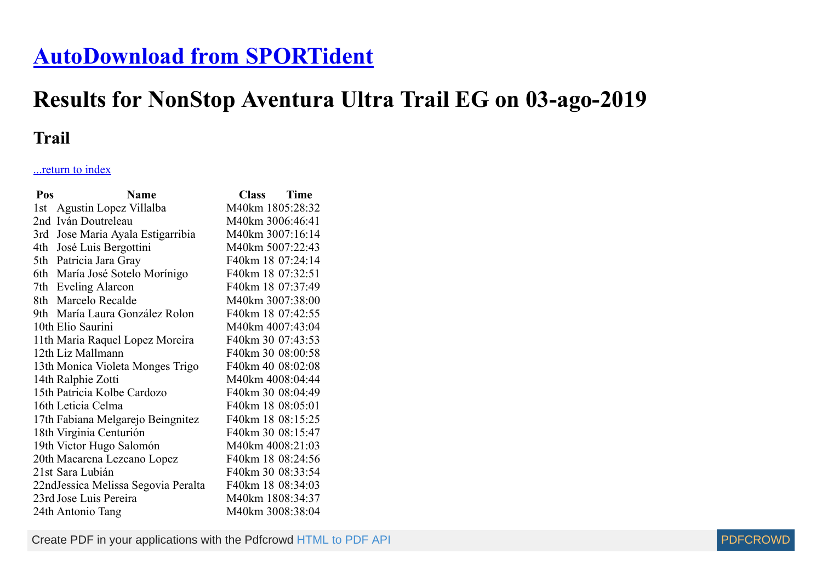## **[AutoDownload from SPORTident](http://www.sportident.co.uk/)**

## **Results for NonStop Aventura Ultra Trail EG on 03-ago-2019**

## **Trail**

## ...return to index

| Pos  | <b>Name</b>                         | <b>Class</b>      | <b>Time</b> |
|------|-------------------------------------|-------------------|-------------|
| 1st  | Agustin Lopez Villalba              | M40km 1805:28:32  |             |
| 2nd  | Iván Doutreleau                     | M40km 3006:46:41  |             |
| 3rd  | Jose Maria Ayala Estigarribia       | M40km 3007:16:14  |             |
| 4th  | José Luis Bergottini                | M40km 5007:22:43  |             |
| 5th  | Patricia Jara Gray                  | F40km 18 07:24:14 |             |
| 6th  | María José Sotelo Morínigo          | F40km 18 07:32:51 |             |
| 7th  | <b>Eveling Alarcon</b>              | F40km 18 07:37:49 |             |
| 8th  | Marcelo Recalde                     | M40km 3007:38:00  |             |
| 9th- | María Laura González Rolon          | F40km 18 07:42:55 |             |
|      | 10th Elio Saurini                   | M40km 4007:43:04  |             |
|      | 11th Maria Raquel Lopez Moreira     | F40km 30 07:43:53 |             |
|      | 12th Liz Mallmann                   | F40km 30 08:00:58 |             |
|      | 13th Monica Violeta Monges Trigo    | F40km 40 08:02:08 |             |
|      | 14th Ralphie Zotti                  | M40km 4008:04:44  |             |
|      | 15th Patricia Kolbe Cardozo         | F40km 30 08:04:49 |             |
|      | 16th Leticia Celma                  | F40km 18 08:05:01 |             |
|      | 17th Fabiana Melgarejo Beingnitez   | F40km 18 08:15:25 |             |
|      | 18th Virginia Centurión             | F40km 30 08:15:47 |             |
|      | 19th Victor Hugo Salomón            | M40km 4008:21:03  |             |
|      | 20th Macarena Lezcano Lopez         | F40km 18 08:24:56 |             |
|      | 21st Sara Lubián                    | F40km 30 08:33:54 |             |
|      | 22ndJessica Melissa Segovia Peralta | F40km 18 08:34:03 |             |
|      | 23rd Jose Luis Pereira              | M40km 1808:34:37  |             |
|      | 24th Antonio Tang                   | M40km 3008:38:04  |             |

Create PDF in your applications with the Pdfcrowd [HTML to PDF API](https://pdfcrowd.com/doc/api/?ref=pdf) [PDFCROWD](https://pdfcrowd.com/?ref=pdf)

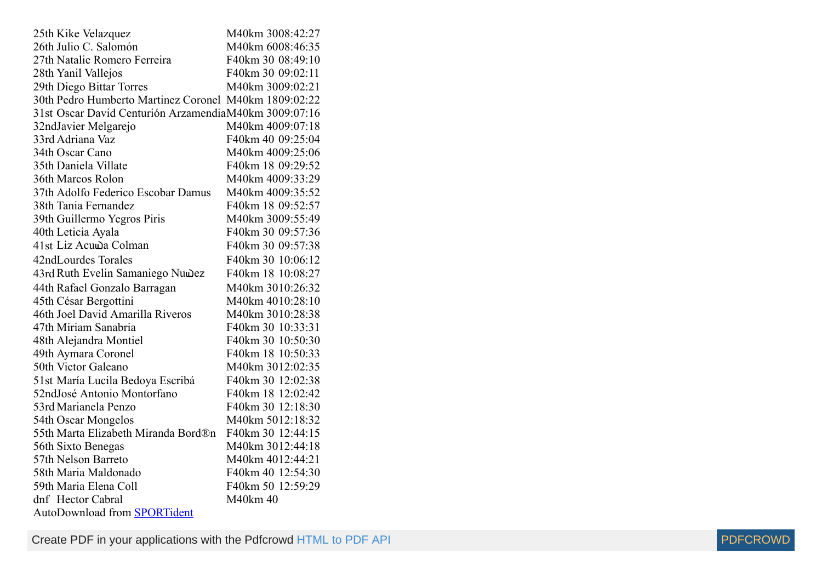| 25th Kike Velazquez                                   | M40km 3008:42:27  |
|-------------------------------------------------------|-------------------|
| 26th Julio C. Salomón                                 | M40km 6008:46:35  |
| 27th Natalie Romero Ferreira                          | F40km 30 08:49:10 |
| 28th Yanil Vallejos                                   | F40km 30 09:02:11 |
| 29th Diego Bittar Torres                              | M40km 3009:02:21  |
| 30th Pedro Humberto Martinez Coronel M40km 1809:02:22 |                   |
| 31st Oscar David Centurión ArzamendiaM40km 3009:07:16 |                   |
| 32ndJavier Melgarejo                                  | M40km 4009:07:18  |
| 33rd Adriana Vaz                                      | F40km 40 09:25:04 |
| 34th Oscar Cano                                       | M40km 4009:25:06  |
| 35th Daniela Villate                                  | F40km 18 09:29:52 |
| 36th Marcos Rolon                                     | M40km 4009:33:29  |
| 37th Adolfo Federico Escobar Damus                    | M40km 4009:35:52  |
| 38th Tania Fernandez                                  | F40km 18 09:52:57 |
| 39th Guillermo Yegros Piris                           | M40km 3009:55:49  |
| 40th Leticia Ayala                                    | F40km 30 09:57:36 |
| 41st Liz Acuwa Colman                                 | F40km 30 09:57:38 |
| 42ndLourdes Torales                                   | F40km 30 10:06:12 |
| 43rd Ruth Evelin Samaniego Nuwez                      | F40km 18 10:08:27 |
| 44th Rafael Gonzalo Barragan                          | M40km 3010:26:32  |
| 45th César Bergottini                                 | M40km 4010:28:10  |
| 46th Joel David Amarilla Riveros                      | M40km 3010:28:38  |
| 47th Miriam Sanabria                                  | F40km 30 10:33:31 |
| 48th Alejandra Montiel                                | F40km 30 10:50:30 |
| 49th Aymara Coronel                                   | F40km 18 10:50:33 |
| 50th Victor Galeano                                   | M40km 3012:02:35  |
| 51st María Lucila Bedoya Escribá                      | F40km 30 12:02:38 |
| 52ndJosé Antonio Montorfano                           | F40km 18 12:02:42 |
| 53rd Marianela Penzo                                  | F40km 30 12:18:30 |
| 54th Oscar Mongelos                                   | M40km 5012:18:32  |
| 55th Marta Elizabeth Miranda Bord®n                   | F40km 30 12:44:15 |
| 56th Sixto Benegas                                    | M40km 3012:44:18  |
| 57th Nelson Barreto                                   | M40km 4012:44:21  |
| 58th Maria Maldonado                                  | F40km 40 12:54:30 |
| 59th Maria Elena Coll                                 | F40km 50 12:59:29 |
| dnf Hector Cabral                                     | M40km 40          |
| AutoDownload from <b>SPORTident</b>                   |                   |